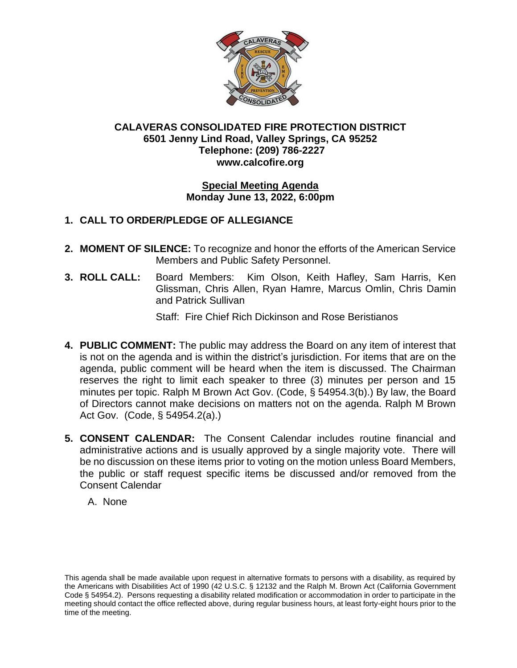

## **CALAVERAS CONSOLIDATED FIRE PROTECTION DISTRICT 6501 Jenny Lind Road, Valley Springs, CA 95252 Telephone: (209) 786-2227 www.calcofire.org**

#### **Special Meeting Agenda Monday June 13, 2022, 6:00pm**

# **1. CALL TO ORDER/PLEDGE OF ALLEGIANCE**

- **2. MOMENT OF SILENCE:** To recognize and honor the efforts of the American Service Members and Public Safety Personnel.
- **3. ROLL CALL:** Board Members: Kim Olson, Keith Hafley, Sam Harris, Ken Glissman, Chris Allen, Ryan Hamre, Marcus Omlin, Chris Damin and Patrick Sullivan

Staff: Fire Chief Rich Dickinson and Rose Beristianos

- **4. PUBLIC COMMENT:** The public may address the Board on any item of interest that is not on the agenda and is within the district's jurisdiction. For items that are on the agenda, public comment will be heard when the item is discussed. The Chairman reserves the right to limit each speaker to three (3) minutes per person and 15 minutes per topic. Ralph M Brown Act Gov. (Code, § 54954.3(b).) By law, the Board of Directors cannot make decisions on matters not on the agenda. Ralph M Brown Act Gov. (Code, § 54954.2(a).)
- **5. CONSENT CALENDAR:** The Consent Calendar includes routine financial and administrative actions and is usually approved by a single majority vote. There will be no discussion on these items prior to voting on the motion unless Board Members, the public or staff request specific items be discussed and/or removed from the Consent Calendar
	- A. None

This agenda shall be made available upon request in alternative formats to persons with a disability, as required by the Americans with Disabilities Act of 1990 (42 U.S.C. § 12132 and the Ralph M. Brown Act (California Government Code § 54954.2). Persons requesting a disability related modification or accommodation in order to participate in the meeting should contact the office reflected above, during regular business hours, at least forty-eight hours prior to the time of the meeting.